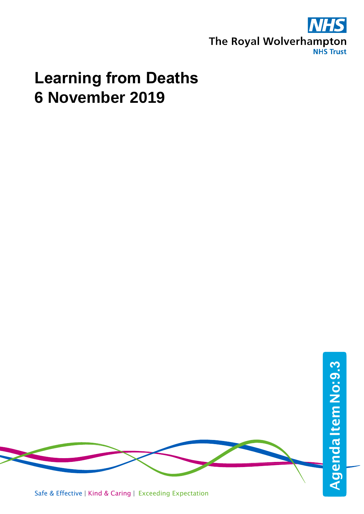

# **Learning from Deaths 6 November 2019**



Safe & Effective | Kind & Caring | Exceeding Expectation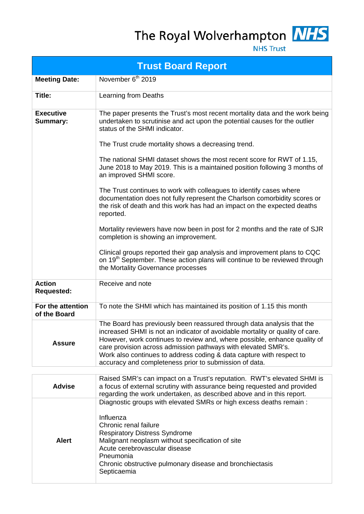## The Royal Wolverhampton NHS



**NHS Trust** 

|                                     | <b>Trust Board Report</b>                                                                                                                                                                                                                                                                                                                                                                                                               |  |  |  |  |  |  |
|-------------------------------------|-----------------------------------------------------------------------------------------------------------------------------------------------------------------------------------------------------------------------------------------------------------------------------------------------------------------------------------------------------------------------------------------------------------------------------------------|--|--|--|--|--|--|
| <b>Meeting Date:</b>                | November 6 <sup>th</sup> 2019                                                                                                                                                                                                                                                                                                                                                                                                           |  |  |  |  |  |  |
| Title:                              | Learning from Deaths                                                                                                                                                                                                                                                                                                                                                                                                                    |  |  |  |  |  |  |
| <b>Executive</b><br><b>Summary:</b> | The paper presents the Trust's most recent mortality data and the work being<br>undertaken to scrutinise and act upon the potential causes for the outlier<br>status of the SHMI indicator.                                                                                                                                                                                                                                             |  |  |  |  |  |  |
|                                     | The Trust crude mortality shows a decreasing trend.                                                                                                                                                                                                                                                                                                                                                                                     |  |  |  |  |  |  |
|                                     | The national SHMI dataset shows the most recent score for RWT of 1.15,<br>June 2018 to May 2019. This is a maintained position following 3 months of<br>an improved SHMI score.                                                                                                                                                                                                                                                         |  |  |  |  |  |  |
|                                     | The Trust continues to work with colleagues to identify cases where<br>documentation does not fully represent the Charlson comorbidity scores or<br>the risk of death and this work has had an impact on the expected deaths<br>reported.                                                                                                                                                                                               |  |  |  |  |  |  |
|                                     | Mortality reviewers have now been in post for 2 months and the rate of SJR<br>completion is showing an improvement.                                                                                                                                                                                                                                                                                                                     |  |  |  |  |  |  |
|                                     | Clinical groups reported their gap analysis and improvement plans to CQC<br>on 19 <sup>th</sup> September. These action plans will continue to be reviewed through<br>the Mortality Governance processes                                                                                                                                                                                                                                |  |  |  |  |  |  |
| <b>Action</b><br><b>Requested:</b>  | Receive and note                                                                                                                                                                                                                                                                                                                                                                                                                        |  |  |  |  |  |  |
| For the attention<br>of the Board   | To note the SHMI which has maintained its position of 1.15 this month                                                                                                                                                                                                                                                                                                                                                                   |  |  |  |  |  |  |
| <b>Assure</b>                       | The Board has previously been reassured through data analysis that the<br>increased SHMI is not an indicator of avoidable mortality or quality of care.<br>However, work continues to review and, where possible, enhance quality of<br>care provision across admission pathways with elevated SMR's.<br>Work also continues to address coding & data capture with respect to<br>accuracy and completeness prior to submission of data. |  |  |  |  |  |  |
|                                     |                                                                                                                                                                                                                                                                                                                                                                                                                                         |  |  |  |  |  |  |
| <b>Advise</b>                       | Raised SMR's can impact on a Trust's reputation. RWT's elevated SHMI is<br>a focus of external scrutiny with assurance being requested and provided<br>regarding the work undertaken, as described above and in this report.                                                                                                                                                                                                            |  |  |  |  |  |  |
| <b>Alert</b>                        | Diagnostic groups with elevated SMRs or high excess deaths remain :<br>Influenza<br>Chronic renal failure<br><b>Respiratory Distress Syndrome</b><br>Malignant neoplasm without specification of site<br>Acute cerebrovascular disease                                                                                                                                                                                                  |  |  |  |  |  |  |

Pneumonia Chronic obstructive pulmonary disease and bronchiectasis

Septicaemia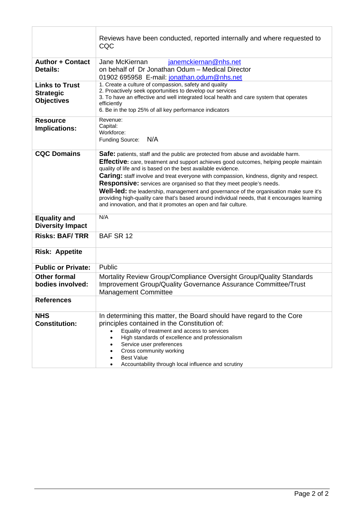|                                                                | Reviews have been conducted, reported internally and where requested to<br>CQC                                                                                                                                                                                                                                                                                                                                                                                                                                                                                                                                                                                                                    |
|----------------------------------------------------------------|---------------------------------------------------------------------------------------------------------------------------------------------------------------------------------------------------------------------------------------------------------------------------------------------------------------------------------------------------------------------------------------------------------------------------------------------------------------------------------------------------------------------------------------------------------------------------------------------------------------------------------------------------------------------------------------------------|
| <b>Author + Contact</b><br><b>Details:</b>                     | janemckiernan@nhs.net<br>Jane McKiernan<br>on behalf of Dr Jonathan Odum - Medical Director<br>01902 695958 E-mail: jonathan.odum@nhs.net                                                                                                                                                                                                                                                                                                                                                                                                                                                                                                                                                         |
| <b>Links to Trust</b><br><b>Strategic</b><br><b>Objectives</b> | 1. Create a culture of compassion, safety and quality<br>2. Proactively seek opportunities to develop our services<br>3. To have an effective and well integrated local health and care system that operates<br>efficiently<br>6. Be in the top 25% of all key performance indicators                                                                                                                                                                                                                                                                                                                                                                                                             |
| <b>Resource</b><br>Implications:                               | Revenue:<br>Capital:<br>Workforce:<br>N/A<br>Funding Source:                                                                                                                                                                                                                                                                                                                                                                                                                                                                                                                                                                                                                                      |
| <b>CQC Domains</b>                                             | <b>Safe:</b> patients, staff and the public are protected from abuse and avoidable harm.<br>Effective: care, treatment and support achieves good outcomes, helping people maintain<br>quality of life and is based on the best available evidence.<br><b>Caring:</b> staff involve and treat everyone with compassion, kindness, dignity and respect.<br><b>Responsive:</b> services are organised so that they meet people's needs.<br>Well-led: the leadership, management and governance of the organisation make sure it's<br>providing high-quality care that's based around individual needs, that it encourages learning<br>and innovation, and that it promotes an open and fair culture. |
| <b>Equality and</b><br><b>Diversity Impact</b>                 | N/A                                                                                                                                                                                                                                                                                                                                                                                                                                                                                                                                                                                                                                                                                               |
| <b>Risks: BAF/TRR</b>                                          | BAF SR 12                                                                                                                                                                                                                                                                                                                                                                                                                                                                                                                                                                                                                                                                                         |
| <b>Risk: Appetite</b>                                          |                                                                                                                                                                                                                                                                                                                                                                                                                                                                                                                                                                                                                                                                                                   |
| <b>Public or Private:</b>                                      | Public                                                                                                                                                                                                                                                                                                                                                                                                                                                                                                                                                                                                                                                                                            |
| <b>Other formal</b><br>bodies involved:                        | Mortality Review Group/Compliance Oversight Group/Quality Standards<br>Improvement Group/Quality Governance Assurance Committee/Trust<br><b>Management Committee</b>                                                                                                                                                                                                                                                                                                                                                                                                                                                                                                                              |
| <b>References</b>                                              |                                                                                                                                                                                                                                                                                                                                                                                                                                                                                                                                                                                                                                                                                                   |
| <b>NHS</b><br><b>Constitution:</b>                             | In determining this matter, the Board should have regard to the Core<br>principles contained in the Constitution of:<br>Equality of treatment and access to services<br>High standards of excellence and professionalism<br>Service user preferences<br>Cross community working<br><b>Best Value</b><br>Accountability through local influence and scrutiny                                                                                                                                                                                                                                                                                                                                       |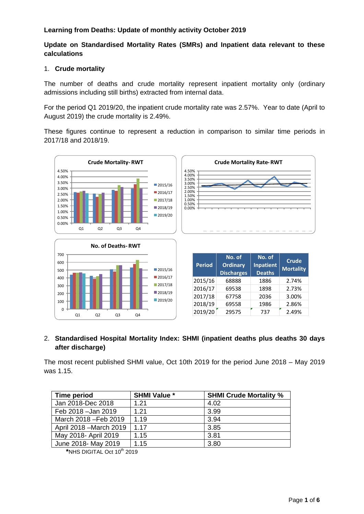### **Learning from Deaths: Update of monthly activity October 2019**

#### **Update on Standardised Mortality Rates (SMRs) and Inpatient data relevant to these calculations**

#### 1. **Crude mortality**

The number of deaths and crude mortality represent inpatient mortality only (ordinary admissions including still births) extracted from internal data.

For the period Q1 2019/20, the inpatient crude mortality rate was 2.57%. Year to date (April to August 2019) the crude mortality is 2.49%.

These figures continue to represent a reduction in comparison to similar time periods in 2017/18 and 2018/19.



#### 2. **Standardised Hospital Mortality Index: SHMI (inpatient deaths plus deaths 30 days after discharge)**

The most recent published SHMI value, Oct 10th 2019 for the period June 2018 – May 2019 was 1.15.

| Time period             | <b>SHMI Value *</b> | <b>SHMI Crude Mortality %</b> |
|-------------------------|---------------------|-------------------------------|
| Jan 2018-Dec 2018       | 1.21                | 4.02                          |
| Feb 2018 - Jan 2019     | 1.21                | 3.99                          |
| March 2018 - Feb 2019   | 1.19                | 3.94                          |
| April 2018 – March 2019 | 1.17                | 3.85                          |
| May 2018- April 2019    | 1.15                | 3.81                          |
| June 2018- May 2019     | 1.15                | 3.80                          |

**<sup>\*</sup>**NHS DIGITAL Oct 10th 2019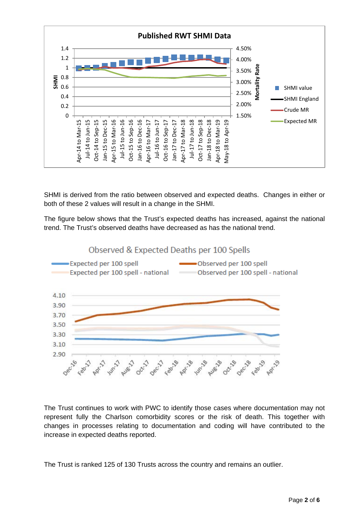

SHMI is derived from the ratio between observed and expected deaths. Changes in either or both of these 2 values will result in a change in the SHMI.

The figure below shows that the Trust's expected deaths has increased, against the national trend. The Trust's observed deaths have decreased as has the national trend.



The Trust continues to work with PWC to identify those cases where documentation may not represent fully the Charlson comorbidity scores or the risk of death. This together with changes in processes relating to documentation and coding will have contributed to the increase in expected deaths reported.

The Trust is ranked 125 of 130 Trusts across the country and remains an outlier.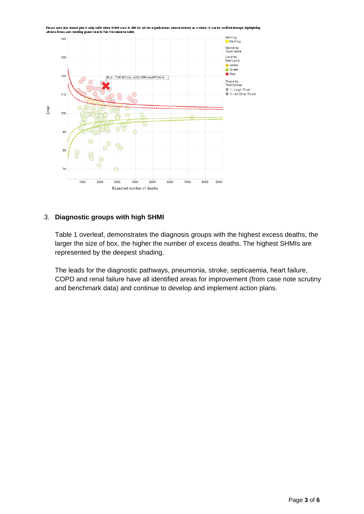

#### Please note that funnel plot is only valid when SHMI score is 100 for all the organisations (shown below) as a whole. It can be verified through highlighting all data items and checking grand total in Tab 3 breakdown table.

### 3. **Diagnostic groups with high SHMI**

Table 1 overleaf, demonstrates the diagnosis groups with the highest excess deaths, the larger the size of box, the higher the number of excess deaths. The highest SHMIs are represented by the deepest shading.

The leads for the diagnostic pathways, pneumonia, stroke, septicaemia, heart failure, COPD and renal failure have all identified areas for improvement (from case note scrutiny and benchmark data) and continue to develop and implement action plans.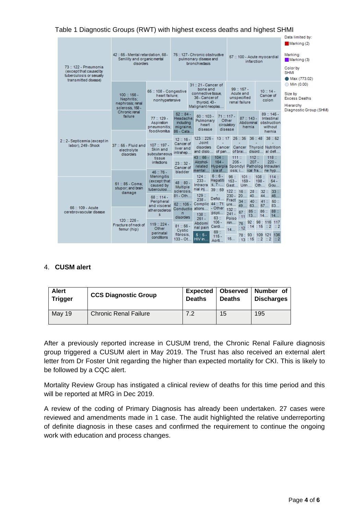|                                                                             |                                                         |                                   |                                        |                                                      |                                   |                                       |                                           |                                                         | Data limited by:                        |
|-----------------------------------------------------------------------------|---------------------------------------------------------|-----------------------------------|----------------------------------------|------------------------------------------------------|-----------------------------------|---------------------------------------|-------------------------------------------|---------------------------------------------------------|-----------------------------------------|
|                                                                             | 42: 65 - Mental retardation, 68 -                       |                                   | 75:: 127 - Chronic obstructive         |                                                      |                                   |                                       |                                           | Marking (2)<br>Marking:                                 |                                         |
|                                                                             | Senility and organic mental<br>disorders                |                                   | pulmonary disease and<br>bronchiedasis |                                                      |                                   | infarction                            | 57: 100 - Acute myocardial                | Markinq(3)                                              |                                         |
| 73 :: 122 - Pneumonia<br>(except that caused by<br>tuberculosis or sexually |                                                         |                                   |                                        |                                                      |                                   |                                       |                                           |                                                         | Color by<br><b>SHMI</b>                 |
| transmitted disease)                                                        |                                                         |                                   |                                        | 31:: 21 - Cancer of                                  |                                   |                                       |                                           |                                                         | • Max (773.02)<br>$\bigcirc$ Min (0.00) |
|                                                                             |                                                         | 65:: 108 - Congestive             |                                        | bone and                                             |                                   |                                       | $99:157-$                                 | $10:14-$                                                |                                         |
|                                                                             | $100::156-$<br>Nephritis:                               | heart failure:<br>nonhypertensive |                                        | connective tissue.<br>36 - Cancerof<br>thyroid, 43 - |                                   |                                       | Acute and<br>unspecified<br>renal failure | Cancer of<br>colon                                      | Size by<br><b>Excess Deaths</b>         |
|                                                                             | nephrosis; renal<br>sclerosis, 158 -                    |                                   |                                        | Malignant neoplas                                    |                                   |                                       |                                           |                                                         | Hierarchy<br>Diagnostic Group (SHMI)    |
|                                                                             | Chronic renal<br>failure                                | $77:129-$                         | $52::84-$<br>Headache:                 | $60 : 103 -$<br>Pulmonary                            |                                   | $71:117-$<br>Other                    | $87:143-$                                 | $89:145-$<br>Intestinal                                 |                                         |
|                                                                             |                                                         | Aspiration<br>pneumonitis:        | including<br>migraine,                 | heart                                                | circulatory<br>disease<br>disease |                                       | hernia                                    | Abdominal obstruction<br>without                        |                                         |
|                                                                             | 37 :: 55 - Fluid and<br>electrolyte<br><b>disorders</b> | food/vomitus                      | 86 - Cata                              | $123::225 -$                                         | 13 : 17                           | 25:35                                 |                                           | hernia<br>38:52<br>36:48                                |                                         |
| 2::2-Septicemia (except in<br>labor), 249 - Shock                           |                                                         | $107::197-$                       | $12 : 16 -$<br>Cancer of               | Joint<br>disorders                                   | Cancer                            |                                       |                                           | Cancer Thyroid Nutrition                                |                                         |
|                                                                             |                                                         | Skin and<br>subcutaneous          | liver and<br>intrahep                  | and dislo                                            |                                   | of pan of brai disord al defi<br>111: |                                           |                                                         |                                         |
|                                                                             |                                                         | tissue<br><i>infections</i>       | $23:32-$                               | $43 : 66 -$<br>Alcohol-                              | $104 -$<br>$164 -$                | $205 -$                               | 112:<br>$207 -$                           | 118<br>$220 -$                                          |                                         |
|                                                                             |                                                         | $46:76-$                          | Cancer of<br>bladder                   | related<br>mental                                    | sia of                            | osis: i                               |                                           | Hyperpla Spondyl Patholog Intrauteri<br>ical fra ne hvp |                                         |
|                                                                             |                                                         | <b>Meningitis</b><br>(except that | $48:80-$                               | $124$ $\pm$<br>$233 -$                               | $6:6-$<br>Hepatiti                | 96:<br>$153 -$                        | $101 -$<br>$159 -$                        | $108 \div$<br>114:<br>$198 -$<br>$54 -$                 |                                         |
|                                                                             | 51:: 85 - Coma:<br>stupor; and brain                    | caused by<br>tuberculosi          | <b>Multiple</b><br>sclerosis.          | Intracra $5, 7$<br>nial inj                          | 39::59                            | Gast Urin<br>122:<br>$16$ $\degree$   |                                           | Oth Gou<br>28:: 32::<br>33:                             |                                         |
|                                                                             | damage                                                  | $68:114-$                         | $81 - Oth$                             | $129$ $\degree$<br>$238 -$                           | Defici Fract                      | $230 - 20$                            | $34$ ::                                   | $40$ $44$ $46$<br>40: 41:                               |                                         |
| 66 :: 109 - Acute                                                           |                                                         | Peripheral<br>and visceral        |                                        | 62: 105 - Complic 44: 71<br>Conductio ations         | - Other                           | 132:                                  |                                           | $50$ ::<br>ure 49 63 57 83                              |                                         |
| cerebrovascular disease                                                     |                                                         | atherosclerosi<br>s               | n<br>disorders                         | 138 <sub>II</sub><br>$251 -$                         | psyc<br>63::                      | $241 -$<br>Poiso                      | $85 \div$<br>67:<br>: 11                  | 86:<br>88::<br>$13$ $14$ $14$                           |                                         |
|                                                                             | $120::226 -$<br>Fracture of neck of                     | $119::224-$                       | $81:56-$                               | Abdomi<br>nal pain                                   | $106 -$<br>Cardi                  | $n$ in                                | : 12                                      | 76: 92: 98: 116 117<br>114:1522                         |                                         |
|                                                                             | femur (hip)                                             | Other<br>perinatal                | Cystic<br>fibrosis.                    | $5:5-$                                               | 69::<br>$115 -$                   | 14                                    | 78: 93: 109 121                           | 136                                                     |                                         |
|                                                                             |                                                         | conditions                        |                                        | 133 - Ot HIV in                                      | Aorti                             |                                       | $15$ $\pm 13$ : 15 : 2 : 2 :              | $\mathbb{Z}^2$                                          |                                         |

### Table 1 Diagnostic Groups (RWT) with highest excess deaths and highest SHMI

### 4. **CUSM alert**

| <b>Alert</b><br><b>Trigger</b> | <b>CCS Diagnostic Group</b>  | <b>Expected</b><br><b>Deaths</b> | <b>Deaths</b> | <b>Observed   Number of</b><br><b>Discharges</b> |
|--------------------------------|------------------------------|----------------------------------|---------------|--------------------------------------------------|
| <b>May 19</b>                  | <b>Chronic Renal Failure</b> | 7.2                              | 15            | 195                                              |

After a previously reported increase in CUSUM trend, the Chronic Renal Failure diagnosis group triggered a CUSUM alert in May 2019. The Trust has also received an external alert letter from Dr Foster Unit regarding the higher than expected mortality for CKI. This is likely to be followed by a CQC alert.

Mortality Review Group has instigated a clinical review of deaths for this time period and this will be reported at MRG in Dec 2019.

A review of the coding of Primary Diagnosis has already been undertaken. 27 cases were reviewed and amendments made in 1 case. The audit highlighted the relative underreporting of definite diagnosis in these cases and confirmed the requirement to continue the ongoing work with education and process changes.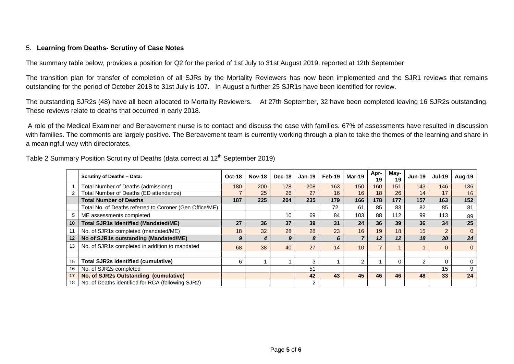#### 5. **Learning from Deaths- Scrutiny of Case Notes**

The summary table below, provides a position for Q2 for the period of 1st July to 31st August 2019, reported at 12th September

The transition plan for transfer of completion of all SJRs by the Mortality Reviewers has now been implemented and the SJR1 reviews that remains outstanding for the period of October 2018 to 31st July is 107. In August a further 25 SJR1s have been identified for review.

The outstanding SJR2s (48) have all been allocated to Mortality Reviewers. At 27th September, 32 have been completed leaving 16 SJR2s outstanding. These reviews relate to deaths that occurred in early 2018.

A role of the Medical Examiner and Bereavement nurse is to contact and discuss the case with families. 67% of assessments have resulted in discussion with families. The comments are largely positive. The Bereavement team is currently working through a plan to take the themes of the learning and share in a meaningful way with directorates.

|    | <b>Scrutiny of Deaths - Data:</b>                       | <b>Oct-18</b> | <b>Nov-18</b> | Dec-18 | $Jan-19$ | Feb-19 | $Mar-19$        | Apr-<br>19 | May-<br>19 | <b>Jun-19</b> | <b>Jul-19</b>  | Aug-19       |
|----|---------------------------------------------------------|---------------|---------------|--------|----------|--------|-----------------|------------|------------|---------------|----------------|--------------|
|    | <b>Total Number of Deaths (admissions)</b>              | 180           | 200           | 178    | 208      | 163    | 150             | 160        | 151        | 143           | 146            | 136          |
|    | Total Number of Deaths (ED attendance)                  |               | 25            | 26     | 27       | 16     | 16              | 18         | 26         | 14            | 17             | 16           |
|    | <b>Total Number of Deaths</b>                           | 187           | 225           | 204    | 235      | 179    | 166             | 178        | 177        | 157           | 163            | 152          |
|    | Total No. of Deaths referred to Coroner (Gen Office/ME) |               |               |        |          | 72     | 61              | 85         | 83         | 82            | 85             | 81           |
| 5  | ME assessments completed                                |               |               | 10     | 69       | 84     | 103             | 88         | 112        | 99            | 113            | 89           |
| 10 | <b>Total SJR1s Identified (Mandated/ME)</b>             | 27            | 36            | 37     | 39       | 31     | 24              | 36         | 39         | 36            | 34             | 25           |
| 11 | No. of SJR1s completed (mandated/ME)                    | 18            | 32            | 28     | 28       | 23     | 16              | 19         | 18         | 15            | $\overline{2}$ | $\mathbf{0}$ |
| 12 | No of SJR1s outstanding (Mandated/ME)                   | 9             | 4             | 9      | 8        | 6      | $\overline{7}$  | 12         | 12         | 18            | 30             | 24           |
| 13 | No. of SJR1s completed in addition to mandated          | 68            | 38            | 40     | 27       | 14     | 10 <sup>°</sup> |            |            |               | $\Omega$       | $\mathbf{0}$ |
|    |                                                         |               |               |        |          |        |                 |            |            |               |                |              |
| 15 | <b>Total SJR2s Identified (cumulative)</b>              | 6             |               |        | 3        |        | $\overline{2}$  |            |            | 2             | 0              | $\mathbf 0$  |
| 16 | No. of SJR2s completed                                  |               |               |        | 51       |        |                 |            |            |               | 15             | 9            |
| 17 | No. of SJR2s Outstanding (cumulative)                   |               |               |        | 42       | 43     | 45              | 46         | 46         | 48            | 33             | 24           |
| 18 | No. of Deaths identified for RCA (following SJR2)       |               |               |        | 2        |        |                 |            |            |               |                |              |

Table 2 Summary Position Scrutiny of Deaths (data correct at 12<sup>th</sup> September 2019)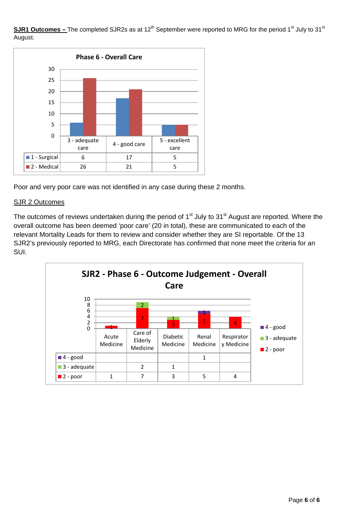**SJR1 Outcomes** – The completed SJR2s as at 12<sup>th</sup> September were reported to MRG for the period 1<sup>st</sup> July to 31<sup>st</sup> August.



Poor and very poor care was not identified in any case during these 2 months.

#### SJR 2 Outcomes

The outcomes of reviews undertaken during the period of  $1<sup>st</sup>$  July to 31<sup>st</sup> August are reported. Where the overall outcome has been deemed 'poor care' (20 in total), these are communicated to each of the relevant Mortality Leads for them to review and consider whether they are SI reportable. Of the 13 SJR2's previously reported to MRG, each Directorate has confirmed that none meet the criteria for an SUI.

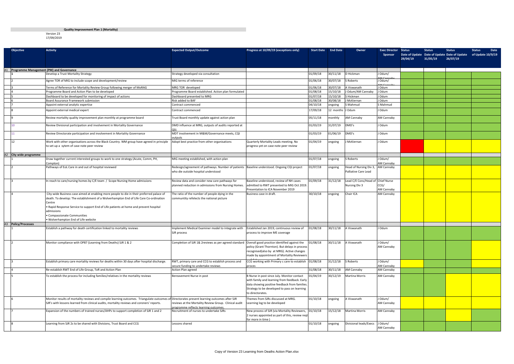Version 23 17/09/2019

| <b>Objective</b>                            | <b>Activity</b>                                                                                                                                                                                                                                                                                                                 | <b>Expected Output/Outcome</b>                                                                                                      | Progress at 10/09/19 (exceptions only)                                                                                                                                                                            | <b>Start Date</b>    | <b>End Date</b> | Owner                                                     | <b>Exec Director</b>         | <b>Status</b> | <b>Status</b> | <b>Status</b><br>Date of Update Date of Update Date of Update | Date<br><b>Status</b><br>of Update 10/9/19 |  |
|---------------------------------------------|---------------------------------------------------------------------------------------------------------------------------------------------------------------------------------------------------------------------------------------------------------------------------------------------------------------------------------|-------------------------------------------------------------------------------------------------------------------------------------|-------------------------------------------------------------------------------------------------------------------------------------------------------------------------------------------------------------------|----------------------|-----------------|-----------------------------------------------------------|------------------------------|---------------|---------------|---------------------------------------------------------------|--------------------------------------------|--|
|                                             |                                                                                                                                                                                                                                                                                                                                 |                                                                                                                                     |                                                                                                                                                                                                                   |                      |                 |                                                           |                              | 29/04/19      | 31/05/19      | 26/07/19                                                      |                                            |  |
|                                             |                                                                                                                                                                                                                                                                                                                                 |                                                                                                                                     |                                                                                                                                                                                                                   |                      |                 |                                                           |                              |               |               |                                                               |                                            |  |
| A1 Programme Management (PM) and Governance | Develop a Trust Mortality Strategy                                                                                                                                                                                                                                                                                              | Strategy developed via consultation                                                                                                 |                                                                                                                                                                                                                   | 01/09/18             | 30/11/18        | D Hickman                                                 | J Odum/                      |               |               |                                                               |                                            |  |
|                                             |                                                                                                                                                                                                                                                                                                                                 |                                                                                                                                     |                                                                                                                                                                                                                   |                      |                 |                                                           |                              |               |               |                                                               |                                            |  |
|                                             | Agree TOR of MIG to include scope and development/review                                                                                                                                                                                                                                                                        | MIG terms of reference                                                                                                              |                                                                                                                                                                                                                   | 01/06/18             | 30/07/18        | S Roberts                                                 | J Odum/                      |               |               |                                                               |                                            |  |
|                                             | Terms of Reference for Mortality Review Group following merger of MoRAG                                                                                                                                                                                                                                                         | MRG TOR developed                                                                                                                   |                                                                                                                                                                                                                   | 01/06/18             | 30/07/18        | A Viswanath                                               | J Odum                       |               |               |                                                               |                                            |  |
|                                             | Programme Board and Action Plan to be developed                                                                                                                                                                                                                                                                                 | Programme Board established. Action plan formulated                                                                                 |                                                                                                                                                                                                                   | 01/08/18             | 15/10/18        | Odum/AM Cannaby                                           | J Odum                       |               |               |                                                               |                                            |  |
|                                             | Dashboard to be developed for monitoring of impact of actions                                                                                                                                                                                                                                                                   | Dashboard presented to MRG                                                                                                          |                                                                                                                                                                                                                   | 01/07/18             | 15/10/18        | S Hickman                                                 | J Odum                       |               |               |                                                               |                                            |  |
|                                             | Board Assurance Framework submission                                                                                                                                                                                                                                                                                            | Risk added to BAF<br>Contract commenced                                                                                             |                                                                                                                                                                                                                   | 01/08/18<br>04/10/18 | 30/08/18        | McKiernan<br>S Mahmud                                     | J Odum<br>S Mahmud           |               |               |                                                               |                                            |  |
|                                             | Appoint external analytic expertise                                                                                                                                                                                                                                                                                             |                                                                                                                                     |                                                                                                                                                                                                                   |                      | ongoing         |                                                           |                              |               |               |                                                               |                                            |  |
|                                             | Appoint external medical expert                                                                                                                                                                                                                                                                                                 | Contract commenced                                                                                                                  |                                                                                                                                                                                                                   | 17/09/18             | 12 months       | Odum                                                      | J Odum                       |               |               |                                                               |                                            |  |
|                                             | Review mortality quality improvement plan monthly at programme board                                                                                                                                                                                                                                                            | Trust Board monthly update against action plan                                                                                      |                                                                                                                                                                                                                   | 05/11/18             | monthly         | <b>AM Cannaby</b>                                         | AM Cannaby                   |               |               |                                                               |                                            |  |
|                                             | Review Divisional participation and involvement in Mortality Governance                                                                                                                                                                                                                                                         | DMD influence at MRG, outputs of audits reported at                                                                                 |                                                                                                                                                                                                                   | 01/03/19             | 31/07/19        | DMD's                                                     | J Odum                       |               |               |                                                               |                                            |  |
|                                             | Review Directorate participation and involvement in Mortality Governance                                                                                                                                                                                                                                                        | MDT involvement in M&M/Governance meets, CQI<br>output                                                                              |                                                                                                                                                                                                                   | 01/03/19             | 01/06/19        | DMD's                                                     | J Odum                       |               |               |                                                               |                                            |  |
| 12                                          | Work with other organisations across the Black Country. WM group have agreed in principle<br>to set up a sytem of case note peer review                                                                                                                                                                                         | Adopt best practice from other organisations                                                                                        | Quarterly Mortality Leads meeting. No<br>progress yet on case note peer review                                                                                                                                    | 01/04/19             | ongoing         | McKiernan                                                 | J Odum                       |               |               |                                                               |                                            |  |
| A2 City wide programme                      |                                                                                                                                                                                                                                                                                                                                 |                                                                                                                                     |                                                                                                                                                                                                                   |                      |                 |                                                           |                              |               |               |                                                               |                                            |  |
|                                             | Draw together current interested groups to work to one strategy (Acute, Comm, PH,<br>Compton)                                                                                                                                                                                                                                   | MIG meeting established, with action plan                                                                                           |                                                                                                                                                                                                                   | 01/07/18             | ongoing         | S Roberts                                                 | J Odum/<br><b>AM Cannaby</b> |               |               |                                                               |                                            |  |
|                                             | Pathways of EoL Care in and out of hospital reviewed                                                                                                                                                                                                                                                                            | Redesign/agreement of pathways. Number of patients  Baseline understood. Ongoing CQI project<br>who die outside hospital understood |                                                                                                                                                                                                                   | 01/07/18             | ongoing         | Head of Nursing Div 3, AM Cannaby<br>Palliative Care Lead |                              |               |               |                                                               |                                            |  |
|                                             | In reach to care/nursing homes by C/E team / Scope Nursing Home admissions                                                                                                                                                                                                                                                      | Review data and consider new care pathways for<br>planned reduction in admissions from Nursing Homes.                               | Baseline understood, review of NH cases<br>admitted to RWT presented to MIG Oct 2019.<br>Presentation to ICA November 2019                                                                                        | 01/09/18             | 31/12/18        | Lead C/E Cons/Head of Chief Nurse<br>Nursing Div 3        | CCG/<br>AM Cannaby           |               |               |                                                               |                                            |  |
|                                             | City-wide Business case aimed at enabling more people to die in their preferred palace of<br>death. To develop: The establishment of a Wolverhampton End of Life Care Co-ordination<br>Centre<br>Rapid Response Service to support End of Life patients at home and prevent hospital<br>admissions<br>Compassionate Communities | The ratio of the number of people dying in the<br>communtity refelects the national picture                                         | Business case in draft.                                                                                                                                                                                           | 30/10/18             | ongoing         | Chair ICA                                                 | AM Cannaby                   |               |               |                                                               |                                            |  |
|                                             | Wolverhampton End of Life website                                                                                                                                                                                                                                                                                               |                                                                                                                                     |                                                                                                                                                                                                                   |                      |                 |                                                           |                              |               |               |                                                               |                                            |  |
| A3 Policy/Processes                         |                                                                                                                                                                                                                                                                                                                                 |                                                                                                                                     |                                                                                                                                                                                                                   |                      |                 |                                                           |                              |               |               |                                                               |                                            |  |
|                                             | Establish a pathway for death certification linked to mortality reviews                                                                                                                                                                                                                                                         | mplement Medical Examiner model to integrate with<br>SJR process                                                                    | Established Jan 2019, continuous review of<br>process to improve ME coverage                                                                                                                                      | 01/08/18             | 30/11/18        | A Viswanath                                               | J Odum                       |               |               |                                                               |                                            |  |
|                                             | Monitor compliance with OP87 (Learning from Deaths) SJR 1 & 2                                                                                                                                                                                                                                                                   | Completion of SJR 1& 2reviews as per agreed standard Overall good practice identified against the                                   | policy (Grant Thornton). But delays in process<br>recognised(also by at MRG). Active changes<br>made by appointment of Mortality Reviewers                                                                        | 01/08/18             |                 | 30/11/18 A Viswanath                                      | J Odum/<br>AM Cannaby        |               |               |                                                               |                                            |  |
|                                             | Establish primary care mortality reviews for deaths within 30 days after hospital discharge.                                                                                                                                                                                                                                    | RWT, primary care and CCG to establish process and<br>secure funding to undertake reviews                                           | CCG working with Primary c care to establish<br>proces                                                                                                                                                            | 01/08/18             | 31/12/18        | S Roberts                                                 | J Odum/<br>AM Cannaby        |               |               |                                                               |                                            |  |
|                                             | Re-establish RWT End of Life Group, ToR and Action Plan                                                                                                                                                                                                                                                                         | Action Plan agreed                                                                                                                  |                                                                                                                                                                                                                   | 31/08/18             | 30/11/18        | AM Cannaby                                                | AM Cannaby                   |               |               |                                                               |                                            |  |
|                                             | To establish the process for including families/relatives in the mortality reviews                                                                                                                                                                                                                                              | Bereavement Nurse in post                                                                                                           | B Nurse in post since July. Monitor contact<br>with family and learning from feedback. Early<br>data showing positive feedback from families.<br>Strategy to be developed to pass on learning<br>to directorates. | 01/04/19             | 30/12/19        | <b>Martina Morris</b>                                     | AM Cannaby                   |               |               |                                                               |                                            |  |
|                                             | Monitor results of mortality reviews and compile learning outcomes. Triangulate outcomes of Directorates present learning outcomes after SJR<br>SJR's with lessons learned from clinical audits, mortality reviews and coroners' reports.                                                                                       | reviews at the Mortality Review Group. Clinical audit<br>programme reflects learning outcomes.                                      | Themes from SJRs discussed at MRG.<br>Learning log to be developed                                                                                                                                                | 01/10/18             | ongoing         | A Viswanath                                               | J Odum/<br>AM Cannaby        |               |               |                                                               |                                            |  |
|                                             | Expansion of the numbers of trained nurses/AHPs to support completion of SJR 1 and 2                                                                                                                                                                                                                                            | Recruitment of nurses to undertake SJRs                                                                                             | New process of SJR (via Mortality Reviewers,<br>2 nurses appointed as part of this, review reqt<br>for more in time)                                                                                              | 01/10/18             | 15/12/18        | <b>Martina Morris</b>                                     | AM Cannaby                   |               |               |                                                               |                                            |  |
|                                             | Learning from SJR 2s to be shared with Divisions, Trust Board and CCG                                                                                                                                                                                                                                                           | Lessons shared                                                                                                                      |                                                                                                                                                                                                                   | 01/10/18             | ongoing         | Divisional leads/Execs                                    | J Odum/<br>AM Cannaby        |               |               |                                                               |                                            |  |

#### **Quality Improvement Plan 1 (Mortality)**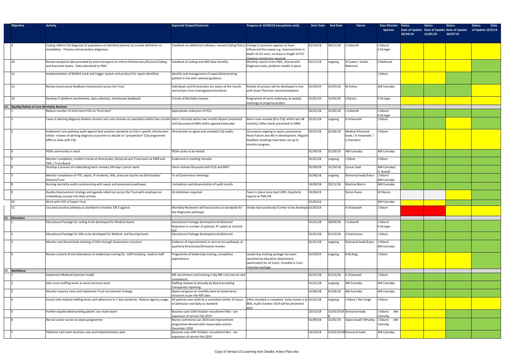| <b>Objective</b>                            | <b>Activity</b>                                                                                                                                                                                                    | <b>Expected Output/Outcome</b>                                                                      | Progress at 10/09/19 (exceptions only)                                                                                                                   | <b>Start Date</b> | <b>End Date</b> | Owner                                                             | Exec Director<br>Sponsor           | <b>Status</b><br><b>Status</b><br><b>Status</b><br>Date of Update Date of Update Date of Update<br>29/04/19<br>31/05/19<br>26/07/19 | <b>Status</b><br><b>Date</b><br>of Update 10/9/19 |
|---------------------------------------------|--------------------------------------------------------------------------------------------------------------------------------------------------------------------------------------------------------------------|-----------------------------------------------------------------------------------------------------|----------------------------------------------------------------------------------------------------------------------------------------------------------|-------------------|-----------------|-------------------------------------------------------------------|------------------------------------|-------------------------------------------------------------------------------------------------------------------------------------|---------------------------------------------------|
|                                             | Coding reflects full diagnosis of population of admitted patients to include definitive co-<br>morbidities. Primary and secondary diagnoses.                                                                       | Feedback on additional software; revised Coding Policy. Change in practices appears to have         | influenced the ouputs e.g. improvements in<br>depth of CCI seen, increase in length of FCE<br>Ongoing monitoring required                                | 01/10/18          | 30/11/18        | J Cotterell                                                       | J Odum/<br><b>K</b> Stringer       |                                                                                                                                     |                                                   |
| $ 10\rangle$                                | Review analytical data provided by external experts to inform Directorates/Division/Coding<br>and Executive teams. Data submitted to PWC.                                                                          | Feedback of coding and HED data monthly                                                             | Monthly reports from PWC, shared with<br>Diagnosis leads, predictor model in place                                                                       | 01/11/18          | ongoing         | N Coates / Sultan<br>Mahmud                                       | S Mahmud                           |                                                                                                                                     |                                                   |
| 11                                          | Implementation of NEWS2 track and trigger system and protocol for sepsis identified.                                                                                                                               | Identify and management of sepsis/deteriorating<br>patient in line with national guidance.          |                                                                                                                                                          |                   |                 |                                                                   | J Odum                             |                                                                                                                                     |                                                   |
| 13                                          | Review Governance feedback mechanisms across the Trust                                                                                                                                                             | Individuals and Directorates are aware of the results<br>and actions from investigations/incidents  | Review of process will be developed in line<br>with Grant Thornton recommendations                                                                       | 01/03/19          | 31/07/19        | M Arthur                                                          | AM Cannaby                         |                                                                                                                                     |                                                   |
|                                             | Develop IT platform (worksheets, data collection, directorate feedback)                                                                                                                                            | Trends of Mortality reviews                                                                         | Programme of work underway, bi weekly<br>meetings to progress project                                                                                    | 01/01/19          | 31/03/20        | S Parton                                                          | <b>K</b> Stringer                  |                                                                                                                                     |                                                   |
| A4 Quality/Safety of Care Mortality Reviews |                                                                                                                                                                                                                    |                                                                                                     |                                                                                                                                                          |                   |                 |                                                                   |                                    |                                                                                                                                     |                                                   |
|                                             | Reduce number of short term FCEs at 'front door'                                                                                                                                                                   | Appropriate reduction of FCEs                                                                       |                                                                                                                                                          | 01/01/18          | 31/05/18        | <b>Cotterell</b>                                                  | J Odum/<br>K Stringer              |                                                                                                                                     |                                                   |
|                                             | Cases in alerting diagnosis baskets receive case note reviews via specialists within two months Alerts returned within two months Report presented                                                                 | and discussed at MRG within agreed timescales                                                       | Alerts now reviwed (8 to CQC within last 48<br>months). Other alerts presented to MRG                                                                    | 01/01/18          | ongoing         | A Viswanath                                                       | J Odum                             |                                                                                                                                     |                                                   |
|                                             | Implement care pathway audit against best practice standards as CQI in specific directorates.<br>Utilise reviews of alerting diagnosis outcomes to decide on "prospective" CQI programme<br>MRG to liaise with CQI | Directorates to agree and complete CQI audits                                                       | QI projects ongoing in sepsis, pneumonia.<br>Heart Failure and AKI in development. Regular<br>feedback meetings have been set up to<br>monitor progress. | 01/07/18          | 01/06/19        | <b>Medical Divisional</b><br>leads / A Viswanath /<br>S Cherukuri | J Odum                             |                                                                                                                                     |                                                   |
|                                             | PDSA community in reach                                                                                                                                                                                            | PDSA cycles to be tested                                                                            |                                                                                                                                                          | 01/09/18          | 01/03/19        | AM Cannaby                                                        | AM Cannaby                         |                                                                                                                                     |                                                   |
|                                             | Monitor complaints, incident trends at Directorate, Divisional and Trust level via IQPR and                                                                                                                        | Evidenced in meeting minutes                                                                        |                                                                                                                                                          | 01/01/18          | ongoing         | J Odum                                                            | J Odum                             |                                                                                                                                     |                                                   |
|                                             | TMC / Trust Board<br>Develop a process of undertaking harm reviews 104 day+ Cancer waits                                                                                                                           | Harm reviews discussed with CCG and RWT                                                             |                                                                                                                                                          | 01/09/18          | 31/10/18        | Cancer lead                                                       | AM Cannaby/                        |                                                                                                                                     |                                                   |
|                                             | Monitor compliance of VTE, sepsis, IP incidents, falls, pressure injuries via Directorate/<br>Division/Trust                                                                                                       | To all Governance meetings                                                                          |                                                                                                                                                          | 01/06/18          | ongoing         | Divisional leads/Execs                                            | G Nuttall<br>J Odum/<br>AM Cannaby |                                                                                                                                     |                                                   |
|                                             | Nursing mortality audits commencing with sepsis and pneumonia pathways                                                                                                                                             | Completion and dissemination of audit results                                                       |                                                                                                                                                          | 10/09/18          | 30/11/18        | <b>Martina Morris</b>                                             | <b>AM Cannaby</b>                  |                                                                                                                                     |                                                   |
|                                             | Quality Improvement strategy and agenda rolled out across the Trust with emphasis on<br>embedding concept into daily activity                                                                                      | QI inititatives reported                                                                            | Team in place since April 2091, Quarterly<br>reports at TMC/TB                                                                                           | 01/04/19          |                 | Simon Evans                                                       | M Sharon                           |                                                                                                                                     |                                                   |
|                                             | Work with CEO of Sepsis Trust                                                                                                                                                                                      |                                                                                                     |                                                                                                                                                          | 01/03/19          |                 |                                                                   | AM Cannaby                         |                                                                                                                                     |                                                   |
|                                             | Use best practice pathway as standard to monitor SJR 2 against.                                                                                                                                                    | Mortality Reviewers will have access to standards for<br>key diagnostic pathways                    | Stroke have produced, Further to be develope 01/03/19                                                                                                    |                   |                 | A Viswanath                                                       | J Odum                             |                                                                                                                                     |                                                   |
| A5 Education                                |                                                                                                                                                                                                                    |                                                                                                     |                                                                                                                                                          |                   |                 |                                                                   |                                    |                                                                                                                                     |                                                   |
|                                             | Educational Package for coding to be developed for Medical teams                                                                                                                                                   | Educational Package developed and delivered<br>Reduction in number of patients 'R' coded at 1st/2nd |                                                                                                                                                          | 01/01/18          | 30/04/18        | J Cotterell                                                       | J Odum/<br><b>K</b> Stringer       |                                                                                                                                     |                                                   |
|                                             | Educational Package for SJRs to be developed for Medical and Nursing teams                                                                                                                                         | <b>ECE</b><br>Educational Package developed and delivered                                           |                                                                                                                                                          | 01/01/18          | 01/12/18        | S Hutchinson                                                      | J Odum                             |                                                                                                                                     |                                                   |
|                                             | Monitor and disseminate learning of SUIs through Governance structure                                                                                                                                              | Evidence of improvements in care across pathways at<br>quarterly Directorate/Divisional reviews     |                                                                                                                                                          | 01/01/18          | ongoing         | Divisional leads/Execs                                            | J Odum/<br>AM Cannaby              |                                                                                                                                     |                                                   |
|                                             | Review content of and attendance at leadership training for staff including medical staff                                                                                                                          | Programme of leadership training, completion<br>expectations                                        | Leadership training package has been<br>launched by education department,<br>(particularly for all Cons). Included in Cons<br>nduction package           | 01/03/19          | ongoing         | <b>B</b> McKaig                                                   | J Odum                             |                                                                                                                                     |                                                   |
| Workforce                                   |                                                                                                                                                                                                                    |                                                                                                     |                                                                                                                                                          |                   |                 |                                                                   |                                    |                                                                                                                                     |                                                   |
|                                             | mplement Medical Examiner model                                                                                                                                                                                    | ME recruitment and training 5 day ME rota (recruit and<br>commence)                                 |                                                                                                                                                          | 01/07/18          | 01/12/18        | A Viswanath                                                       | J Odum                             |                                                                                                                                     |                                                   |
|                                             | Safe nurse staffing levels at ward and team level                                                                                                                                                                  | Staffing reviews bi-annually by Board providing<br>transparent reporting                            |                                                                                                                                                          | 01/01/18          | ongoing         | <b>AM Cannaby</b>                                                 | AM Cannaby                         |                                                                                                                                     |                                                   |
|                                             | Monitor vacancy rates and implement Trust recruitment strategy                                                                                                                                                     | Report progress on monthly basis to Governance<br>structure as per the NSF plan                     |                                                                                                                                                          | 01/06/18          | 01/03/19        | AM Cannaby                                                        | AM Cannaby                         |                                                                                                                                     |                                                   |
|                                             | Ensure safe medical staffing levels and adherence to 7 day standards. Reduce Agency usage.                                                                                                                         | All patients seen daily by a consultant within 14 hours<br>of admission and daily as standard       | 14hrs standard is compliant. Daily review is at 01/01/18<br>86%. Audit October 2019 will be presented<br>NOV                                             |                   | ongoing         | J Odum / Dev Singh                                                | J Odum                             |                                                                                                                                     |                                                   |
|                                             | Further expand deteriorating patient 'out reach team'                                                                                                                                                              | Business case 10th October recruitment Nov - Jan<br>expansion of service Feb 2019                   |                                                                                                                                                          | 10/10/18          |                 | 31/03/2019 Divisional leads                                       | J Odum/<br>AM<br>Cannaby           |                                                                                                                                     |                                                   |
|                                             | Recruit senior nurses to sepsis programme                                                                                                                                                                          | Nurses commence Jan 2019 and improvement<br>programme devised with measurable actions               |                                                                                                                                                          | 01/09/18          | 31/01/19        | Sepsis lead/V Whatley                                             | J Odum/ AM<br>Cannaby              |                                                                                                                                     |                                                   |
|                                             | Palliative Care team business case and implementation plan                                                                                                                                                         | December 2018<br>Business case 20th October recruitment Nov - Jan<br>expansion of service Feb 2019  |                                                                                                                                                          | 10/10/18          |                 | 31/03/2019 Divisional leads                                       | AM Cannaby                         |                                                                                                                                     |                                                   |